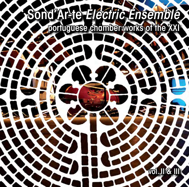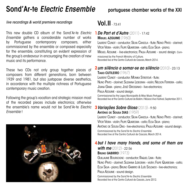## Sond'Ar-te *Electric Ensemble*

### *live recordings & world premiere recordings*

This new double CD album of the Sond'Ar-te *Electric Ensemble* gathers a considerable number of works by Portuguese contemporary composers, either commissioned by the ensemble or composed especially for the ensemble, constituting an evident expression of the group's endeavour in encouraging the creation of new music and its performance.

These two CDs not only group together pieces of composers from different generations, born between 1939 and 1981, but also juxtapose diverse aesthetics, in accordance with the multiple richness of Portuguese contemporary music creation.

Following the group's vocation and strategic mission most of the recorded pieces include electronics; otherwise the ensemble's name would not be Sond'Ar-te *Electric Ensemble* !



## portuguese chamber works of the XXI

## Vol. II  $73:41$

## *De Part et d'Autre* (2011) - 17:42 **1**

Miguel Azguime (1960)

Laurent Cuniot - conductor; Sílvia Cancela - flute; Nuno Pinto - clarinet; Vítor Vieira - violin; Filipe Quaresma - cello; Elsa Silva - piano; Miguel Azguime - live-electronics; Paula Azguime - sound design. Commissioned by the French Ministry of Culture. Recorded live at the Centro Cultural de Cascais, March 2014.

### *um silêncio a somar-se ao silêncio* (2010) - 23:13 **2** Tiago Cutileiro (1967)

Laurent Cuniot - conductor; Monika Streitová - flute;

Nuno Pinto - clarinet; Suzanna Lidegran - violin; Nelson Ferreira - cello; Joana Gama - piano; José Grossinho - live-electronics;

Paula Azguime - sound design.

Commissioned by the Lagos Municipality & Miso Music Portugal. Recorded live at the Centro Cultural de Belém / Música Viva Festival, September 2011.

## *Variações Sobre Glosa* (2013) - 9:50 **3**

António de Sousa Dias (1959)

Laurent Cuniot - conductor; Sílvia Cancela - flute; Nuno Pinto - clarinet;

Vítor Vieira - violin; Filipe Quaresma - cello; Elsa Silva - piano;

ANTÓNIO DE SOUSA DIAS - live-electronics: PAULA AZGUIME - sound design.

Commissioned by the Sond'Ar-te *Electric Ensemble*. Recorded live at the Centro Cultural de Cascais, March 2014.

## *but I have many friends, and some of them are*  **4**

*with me* (2012) - 22:56 BRUNO GABIRRO (1973) Guillaume Bourgogne - conductor; Raquel Lima - flute; Nuno Pinto - clarinet; Suzanna Lidegran - violin; Filipe Quaresma - cello; El sa Silva - pigno; Bruno Gabirro & Luís Soldado - live-electronics; Paula Azguime - sound design.

Commissioned by the Sond'Ar-te *Electric Ensemble*. Recorded live at the Centro Cultural de Cascais, June 2012.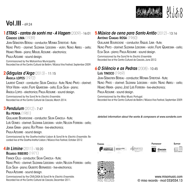

## Vol.III – 69:24

## *ETRAS - cantos de sonhi ma - A Viagem*(2009) - 16:01 **1 5**

Cândido LIMA (1939)

Jean-Sébastien Béreau - conductor; Monika Streitová - flute; Nuno Pinto - clarinet; Suzanna Lidegran - violin; Nuno Abreu - cello; Hisako Hirata - piano; Miguel Azguime - electronics; Paula Azguime - sound design.

Commissioned by the Matosinhos Municipality. Recorded live at the Centro Cultural de Belém / Música Viva Festival, September 2009.

## *Gárgulas d'Arga* (2013) - 11:15 **2**

Ângela Lopes (1972)

Laurent Cuniot - conductor; Sílvia Cancela - flute; Nuno Pinto - clarinet; Vítor Vieira - violin; Filipe Quaresma - cello; Elsa Silva - piano; Ângela Lopes - electronics; Paula Azguime - sound design.

Commissioned by the Sond'Ar-te *Electric Ensemble*. Recorded live at the Centro Cultural de Cascais, March 2014.

## *Pendulum* (2012) - 7:47 **3**

Rui Penha (1981)

Guillaume Bourgogne - conductor; Sílvia Cancela - flute; Luís Gomes - clarinet; Suzanna Lidegran - violin; Nelson Ferreira - cello; Joana Gama - piano; Rui Penha - live-electronics;

PAULA AZGUIME - sound design.

Commissioned by the Goethe-Institut Lisbon & Sond'Ar-te *Electric Ensemble*. Recorded live at the Goethe-Institut Lisbon / Música Viva Festival, October 2012.

## *In Limine* (2011) - 10:20 **4**

Ricardo Ribeiro (1971)

Franck Ollu - conductor; Sílvia Cancela - flute;

Nuno Pinto - clarinet; Suzanna Lidegran - violin; Nelson Ferreira - cello;

Elsa Silva - piano; Gilberto Bernardes - live-electronics;

PAULA AzGUIME - sound design.

Commissioned by the CIVILCASA & Sond'Ar-te *Electric Ensemble*. Recorded live at the Centro Cultural de Cascais, December 2011.

### *Música de cena para Santo Antão* (2012) - 13:16 António Chagas Rosa (1960)

GUILLAUME BOURGOGNE - conductor: RAQUEL LIMA - flute; Nuno Pinto - clarinet; Suzanna Lidegran - violin; Filipe Quaresma - cello; Elsa Silva - piano; Paula Azguime - sound design.

Commissioned by the Sond'Ar-te *Electric Ensemble*. Recorded live at the Centro Cultural de Cascais, June 2012.

## *O Silêncio e as Pedras* (2008) - 10:45 **6**

Luís TINOCO (1969)

Jean-Sébastien Béreau - conductor; Monika Streitová - flute;

Nuno Pinto - clarinet: Suzanna Lidegran - violin: Nuno Abreu - cello: Hisako Hirata - piano; José Luís Ferreira - live-electronics;

Paula Azguime - sound design.

Commissioned by the Miso Music Portugal. Recorded live at the Centro Cultural de Belém / Música Viva Festival, September 2009.

*detailed information about the works & composers at www.sondarte.com*











www.misomusic.com © miso records - mcd 033/034.13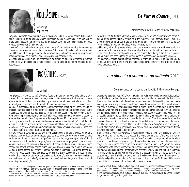### *De Part et d'Autre* (2011)



De part et d'autre foi encomendada pelo Ministério da Cultura Francês a pedido do Ensemble Court-Circuit, para flauta, clarinete, violino, violoncelo, piano e electrónica e utiliza como único material um espectro harmónico e sub-harmónico, de certa maneira "resintetizado" ao longo de toda a peça pelos 5 instrumentos.

Ao contrário de muitas das minhas obras nas quais, vários modelos ou objectos sonoros se transformam uns nos outros, aqui um mesmo e único objecto é sujeito a várias metamorfoses. Diferentes olhares e perspectivas transformam-no, e submetem-no a uma viagem sem retorno através os seus vários estados; sucessão de episódios em devir.

A electrónica constitui mais um componente do timbre do que um elemento autónomo, agindo ao nível microscópico e macroscópico, seja no detalhe, seja como modelo de representação.



Tiago Cutileiro (1967)

#### www.mic.nt

um silêncio a somar-se ao silêncio (para flauta, clarinete, violino, violoncelo, piano e electrónica) é, como o nome sugere, uma peça sobre o silêncio - não o silêncio absoluto, aquele que só existe em abstracto, mas o silêncio que se ouve quando parece não haver nada. Para deixar de ouvir, afastamo-nos de uma fonte sonora e começamos a perceber outras fontes sonoras. À distância certa, todas as fontes sonoras começam a misturar-se. Umas dissipam-se mais que outras e fica um rumor distante, consistente e aparentemente contínuo. Cria-se uma indefinição sonora mas que não deixa de ser som. Uma paisagem sonora que, como a paisagem visual, implica este distanciamento. Nada se realça claramente e o que fica é apenas o que persiste quando se está, aparentemente, longe demais. Mais do que uma ausência de som o que se obtém é uma ausência de comunicação - o som tornado ruído indistinto. As diferentes unidades sonoras tornam-se difíceis de identificar. Toda a 'história' do que está a acontecer - a génese voluntária ou involuntária daquelas diversas unidades que, juntas, são esta pasta sonora distante - deixa de ser pertinente.

Em um silêncio a somar-se ao silêncio, o som deixa de ser um meio, um veículo para uma narrativa (seja do lado de quem produz esse som, seja do lado de quem o escuta), para se tornar um fim em si mesmo. Uma "película" de ruído branco, gerada pela electrónica, é somada a, e transformada por, respirações instrumentais, numa progressão quase imperceptível: seis secções caracterizadas por uma identidade tímbrica subtil - tutti (com piano tocado por *ebow*'); sopros e cordas; piano solo (tocado com técnica tradicional e por *ebow*); cordas e piano tocado por cerdas"); sopros; *tutti* sem electrónica (com piano tocado por ebow). Ao longo desta sequência nada está a ser dito. E, por conseguência, nada há para decifrar. É o silêncio do outro (do compositor ou do ouvinte?) a somar-se ao nosso silêncio (do ouvinte ou do compositor?), se é que ainda haverá, entre ambos, neste género musical, uma tão grande distinção.

1 - O ebow é um pequeno aparelho usado em guitarras eléctricas que excita as cordas sem lhes tocar, produzindo um som contínuo e constante. Aqui, três ebows são colocados sobre as cordas do piano criando uma envolvente sonora muito diferente da que resulta da técnica tradicional do instrumento.

2 - As cerdas são usadas nos arcos dos instrumentos de corda friccionada. Aqui, elas são entrelaçadas em cordas específicas do piano, mais uma vez descaracterizando o seu timbre tradicional.

Commissioned by the French Ministry of Culture

De part et d'autre for flute, clarinet, violin, violoncello, piano and electronics was commissioned by the French Ministry of Culture at the request of the Ensemble Court-Circuit. The piece employs as its unique material a harmonic and subharmonic spectrum, somehow "resynthesized" throughout the piece by the five instruments.

Unlike many other of my works where I transform various models or sound objects into another ones, in this case one and the same object is subject to various metamorphoses. It is transformed from different points of view and perspectives, being submitted to a journey without return and passing through various states; a succession of progressing episodes.

The electronics constitutes yet another component of the timbre rather than an autonomous element. It acts both at the micro and macroscopic level, either in terms of detail or as a model of representation.

### *um silêncio a somar-se ao silêncio* (2010)

#### Commissioned by the Lagos Municipality & Miso Music Portugal

um silêncio a somar-se ao silêncio (for flute, clarinet, violin, violoncello, piano and electronics) is, as the title suggests a piece about silence - not absolute silence, the one that exists only in the abstract, but the silence that one hears when there seems to be nothing. In order to stop listening we move away from one sound source as we begin to perceive other sound sources. At a certain distance, all sound sources begin to blend. Some dissipate more than the other ones, and what remains is a distant, consistent and apparently continuous hum. One creates a sonorous identification, yet which doesn't cease to be a sound; a soundscape, which, just as a visual landscape, implies this distancing. Nothing is clearly emphasized, and what remains is only what persists when one is apparently too far away. What is achieved is rather the absence of communication than the absence of sound - the sound is turned into a dim noise. The different sound units become difficult to identify. The whole "story" of what is happening, the voluntary or involuntary genesis of those diverse elements, which together constitute this distant sound blend, cease to be pertinent.

In um silêncio a somar-se ao silêncio, the sound is no longer a mean, a vehicle for a narrative (either on the part of the one who produces this sound, or on the part of the one who listens to it), in order to become an end in itself. A "layer" of white noise, generated by the electronics, is added to and transformed by instrumental respirations in an almost imperceptible progression: six sections characterized by a subtle timbric identity - tutti (where the piano is performed with ebow'); woodwinds and strings; solo piano (performed traditionally and with ebow); strings and piano (performed with bristles<sup>2</sup>); woodwinds; tutti without electronics (with the piano performed with ebow). During this sequence nothing is to be said. And in consequence, there is nothing to decipher. It is the silence of the other (of the composer or the listener?) added to our silence (of the listener or the composer?), if there still is such a great distinction between both of them in this genre of music.

1 - Ebow is a small device used in electric quitars, which triggers the strings without touching them, producing a continuous and constant sound. Here, three ebows are put on the piano strings creating a surrounding sound, quite different from the one resulting from the traditional performing technique on this instrument.

2 - The bristles are used in the bows of string instruments. Here, they are intertwined with the piano's particular strings, once again changing its original timbre.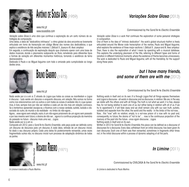



#### www.mic.nt www.sousadias.com

Variação sobre Glosa é uma obra que continua a exploração de um certo número de estratégias de composição.

Uma delas, a ideia de "dedicatória intrínseca": o ritmo global da obra encontra-se livremente articulado em torno da transcrição em código Morse dos nomes dos dedicatários, o que explica a existência de três seccões maiores: I. Délicat; II. Joveux e III. Avec ampleur.

Em seguida, a continuação da exploração daquilo que chamaria operar com uma base de dados musicais, donde o pleonasmo subiacente ao título, remetendo para diferentes tipos e formas de variação em diferentes momentos históricos, tornando a existência de tema desnecessária.

Dedicada à Paula e ao Miguel Azguime com toda a amizade pela cumplicidade ao longo destes anos.



BRUNO GABIRRO (1973)

## *Variações Sobre Glosa* (2013) Commissioned by the Sond'Ar-te *Electric Ensemble*

Variação sobre Glosa is a work that continues the exploration of some personal strategies in composition.

One of them is the idea of "intrinsic dedication": the work's global structural rhythm is freely articulated around the Morse code transcription of the names, Paula and Miguel Azguime, what explains the existence of three major sections: I. Délicat: II. Joyeux and III. Avec ampleur. Then, there is also the exploration of what I mean by operating with a musical database. This explains the underlying pleonasm of the title, referring to different types and forms of variation in different historical moments, where the existence of theme becomes unnecessary. The work is dedicated to Paula and Miguel Azguime, with all the friendship, for the support along these years.

## *but I have many friends, and some of them are with me* (2012)

#### www.mic.pt

Nada existe por si e em si. É através do Logos que todas as coisas se manifestam e Logos é discurso - tudo existe em discurso e enquanto discurso, em relação. Nós somos na forma como nos relacionamos com os outros e com todas as coisas. A verdade não é o que quisermos, é livre, sempre livre por não ser relativa a cada um de nós mas em relação connosco. Se a tentarmos apreender escapa-se, e ficamos com a nossa verdade, autista, isolada e dissociada do outro, do mundo e da realidade - no limbo do não-agora...

Agora... esse agora sem relação, vazio, é um não-agora prisioneiro de um agora sem passado e por isso mesmo sem futuro, o drama de não ser... agora é a contínua projecção da memória do passado no futuro - discurso mais uma vez... Logos.

#### Nada existe por si e em si.

Composta em 2012, para o Sond'Ar-te *Electric Ensemble,* esta peça pode ser definida como um discurso de discursos para um discurso. A cada ideia, retirada de um discurso inicial, foi dado o seu discurso próprio. Cada uma delas foi posteriormente reinserida, umas vezes fragmentada outras não, no discurso inicial num processo de adaptação dinâmica de todas as partes.



Commissioned by CIVILCASA & the Sond'Ar-te *Electric Ensemble*

*In Limine* (2011)

In Limine é dedicada a Paulo Martins In Limine is dedicated to Paulo Martins

Commissioned by the Sond'Ar-te *Electric Ensemble*

Nothing exists in itself and on its own. It is through Logos that all things express themselves and Logos is discourse - all exists in discourse and as discourse, in relation. We are, in the way we relate with the others and with all things. The truth is not what we want, it is free, always free, for not being relative to each one of us, but rather being in relation with all of us. If we try to apprehend it, it will fade away and we shall remain only with our own truth, autistic, isolated and separate from the other, the world and the reality - in the limbo of the not-now... Now... this "now" with no relation, empty, is a not-now prison of a now with no past and, consequently, no future, the drama of "not to be"… now is the continuous projection of the memory of the past into the future - once again discourse... Logos. Nothing exists in itself and on its own.

Written in 2012 for Sond'Ar-te Electric Ensemble, this piece can be defined as a discourse of discourses for a discourse. Every idea, withdrawn from an initial discourse, has been given its own discourse. Each one of them was then reinserted, sometimes in fragments other times not, in the initial discourse within a process of dynamic adapting of all the parts.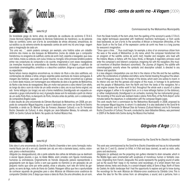

# CÂNDIDO LIMA (1939)

### ww.mic.nt

Da tonalidade grega do termo etras, da soletração de vocábulos do acrónimo E.T.R.A.S. (novas técnicas digitais associadas às técnicas tradicionais da mecânica), ou de palavras lidas ao contrário, como son d'ar-te, às sonoridades de etnias africanas, amazónicas, do sul-asiático ou do extremo-oriente da expressão cantos de sonhi ma, há uma longa viagem para a imaginação de cada um.

"Era uma vez….", assim poderia começar, por exemplo, uma história sobre um cidadão anónimo dos mares ou dos bosques de Matosinhos (nome da cidade que o compositor transformou no anagrama do subtítulo *cantos de sonhi ma!*), viajante e navegador, que viveu com índios, maias ou aztecas, com zulus, hindus ou mongóis. Uma princesa lendária poderia entrar nas conjecturas do compositor e do ouvinte, imaginando-a com esses navegadores (as invenções musicais de sonoridades da literatura brasileira!). A Viagem, o subtítulo de sonoridade cinematográfica, simbólico e o descritivo coabitam, dirige-se a qualquer ouvinte ou espectador.

Numa leitura menos alegórica encontram-se, no interior do título e dos dois subtítulos, em combinações de sílabas e letras, amigos viajantes pelas aventuras da música portuguesa. À margem das histórias que cada um quiser inventar, no seu interior encontram-se a génese e o motor desta música, em homenagem aos intérpretes da obra e às gentes de Matosinhos, do Norte e das terras de navegadores. Mas um motor real percorre a obra inteira! Com efeito, ao longo da obra o som do motor de um avião envolve a obra, ora na sua forma original, ora sob forma letárgica (ao longe) ora sob a forma metafórica (transfigurado em orquestra envolvendo o grupo instrumental ao vivo). A gravação desse som foi realizada a partir do interior de um avião Porto-Paris, no Aeroporto do Porto, minutos antes da partida, com a colaboração da compositora Ângela Lopes.

A obra resulta de uma encomenda da Câmara Municipal de Matosinhos, em 2008, por proposta do compositor Miguel Azguime, a quem é dedicada, bem como ao Sond'Ar-te Electric Ensemble, e ainda ao Dr. Manuel Dias da Fonseca (Assessor Cultural) e ao Dr. Fernando Rocha (Vereador da Cultura). A obra, dirigida por Jean-Sébastien Béreau, foi estreada, em 2009, no Centro Cultural de Belém. No quadro do Festival Música Viva.

Commissioned by the Matosinhos Municipality

From the Greek tonality of the term etras, from the spelling of the acronym's words, E.T.R.A.S. (new digital techniques associated with traditional mechanic techniques), or from words read backwards, as son d'ar-te, to the sonorities of African or Amazonian ethnicities, of the Asian South or the Far East, of the expression *cantos de sonhi ma*, there is a long journey for everyone's imagination.

"Once upon a time…", thus could begin, for example, a story of an anonymous citizen from the seas or the woods of Matosinhos (a city name, which the composer transformed into and according to the subtitle cantos de sonhi many traveller and navigator, who lived with the Indians, Mayas, or Aztecs, with the Zulus, Hindu, or Mongols. A legendary princess could enter the composer's and listener's conjecture, imagining her with the navigators (the musical inventions of Brazilian literature's sonorities!). The Journey (A Viagem), the subtitle with cinematographic sonority where the symbolic and descriptive cohabit, is directed to any listener and spectator.

In a less allegoric interpretation one can find in the interior of the title and the two subtitles, within the combinations of syllables and letters, some friends traveling throughout the adventures of Portuguese music. On the margin of the stories, which each one wishes to invent, in its interior one can find the genesis and engine of this music, in homage to its performers and the people of Matosinhos, from the North and from the lands of the navigators. Yet a real engine crosses the entire work! In fact, throughout the whole work a sound of a plane engine engages it, either in its original form, or in a more lethargic fashion (in the distance), or rather metaphorically (transfigured in an orchestra, involving the live instrumental group). The recording of this sound was realised inside a plane, Porto-Paris, at the Porto Airport, some minutes before the departure, in collaboration with the composer Ângela Lopes.

This work results from a commission by the Matosinhos Municipality in 2008, proposed by the composer Miguel Azguime, to whom it is dedicated. It is also dedicated to the Sond'Ar-te Electric Ensemble, and to Dr Manuel Dias da Fonseca (Cultural Advisor) and to Dr Fernando Rocha (Councillor of Culture). The work, conducted by Jean-Sébastien Béreau, was premiered in 2009 at the Belém Arts Centre during the Música Viva Festival.





www.mic.pt

Esta obra é uma encomenda do Sond'Ar-te *Electric Ensemble* e tem como formação instrumental flauta (em dó e em sol), clarinete (em sib, em mib e clarinete baixo), violino, violoncelo, piano e electroacústica.

Gárgulas (ou desaguadouros), são a parte saliente das calhas de telhados que se destinam a escoar águas pluviais, e que, na Idade Média, eram ornadas com figuras monstruosas, humanas ou animalescas. Originalmente do francês Gargouille, palavra representando o gorgolejante som da água. Como o som que guardo na memória (e em gravação) de um pequeno riacho que corre por entre pedras, ervas e arbustos, num vale em forma de garganta, na serra de Arga, norte de Viana do Castelo. Paisagem idílica que tive a oportunidade de conhecer aquando de gravações para a obra Músicas de Villaiana-coros oceânicos do compositor Cândido Lima. É daqui que nasce a ideia do título. De uma atmosfera, de um som, Commissioned by the Sond'Ar-te *Electric Ensemble*

*Gárgulas d'Arga* (2013)

This work was commissioned by the Sond'Ar-te Electric Ensemble and has as its instrumental set, flute (in C and G), clarinet (in B-flat, in E-flat and bass clarinet), as well as violin, cello, piano and electronics.

Gargoyles (or spillways) are the projecting rain gutters intended to drain rainwater, which in the Middle Ages were ornamented with sculptures of monstrous, human or fantastic creatures. Originating from French, Gargouille, this words represents the gurgling sound of water, just as the sound that I keep in my memory (and recordings), of a small stream that runs between stones, herbs and shrubs, in a canyon-shaped valley, at Serra d'Arga, North of Viana do Castelo. An idyllic landscape that I had the opportunity to explore and get to know during the recordings for the work *Músicas de Villaiana-coros oceânicos* by Cândido Lima. This is where the idea for the title comes from an atmosphere, a sound, and a perfume, from a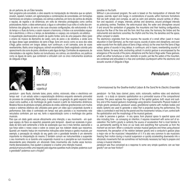#### de um perfume, de um Éden terrestre.

Sem programa pré-concebido, a obra assenta na manipulação de intervalos que se opõem, anulam, repelem, fundem, em aglomerações e combinações de sonoridades, em formações harmónicas ora simples e complexas, ora calmas e extremas, em torno de centros de atração e repulsa, de registos e de dinâmicas, em volta de intervalos privilegiados como centros polarizadores. Assim, a ideia extramusical, a água e a atmosfera à sua volta e à volta dos simbolismos das gárgulas, da serra e das suas sinuosas configurações, vão estruturando o fluir do tempo e o fluxo da forma, e assim nascem a harmonia, o timbre e as sonoridades orquestral e electrónica, o ritmo e o tempo, as densidades e o espaço, ora compacto, ora elástico.

A orquestração electroacústica provém de quatro fontes: sons de uma pequena cítara (para o ensino da música da Alemanha de Leste), sons de piano e de vibrafone, e ainda sons de água desse lugar paradisíaco da serra d'Arga. Sons em eco(s) como os ecos dos vales d'Arga, grãos sonoros em longos delays, num continuum, e em camadas, sons de vozes reverberantes, flashs, sinos longínquos, ostinati encantatórios. Gesto englobado colorido pelo aparecimento dos sons de piano, vibrafone e pela água de Arga. Contrastes de espessuras, de intensidades e de registos. Gestos ora tumultuosos, ora calmos, ora dramáticos, ora poéticos como as águas da serra, que combinam e articulam com os cinco instrumentos acústicos de Gárgulas d'Arga.



## , INJI I FINTIA (1981) www.mic.pt

[ruipenha.pt](http://ruipenha.pt/)

pendulum - para flauta, clarinete baixo, piano, violino, violoncelo, vídeo e electrónica em tempo real - é um estudo sobre a espacialização dinâmica enquanto elemento primordial do processo de composição. Nesta peça, é explorada a co-geração do gesto espacial, tanto visual como auditivo, e da morfologia do gesto musical a partir de movimentos dinâmicos. Modelos físicos de pêndulos simples, pêndulos de ondas, sistemas gravitacionais com muitos corpos e sistemas elásticos são utilizados para gerar um vídeo que é projectado durante a performance. Este vídeo é controlado em tempo real pelo pianista e os movimentos nele veiculados controlam, por sua vez, tanto a espacialização como a morfologia dos gestos musicais.

Para que um dado gesto veicule eficazmente uma intenção, o seu movimento - em qualquer espaço, do físico ao espectral, passando pelo temporal - deverá ser acelerado. A gravidade da terra será certamente a fonte de aceleração que nos é mais familiar, exercendo a sua força sobre o nosso corpo e sobre os corpos que nos rodeiam desde que nascemos. Quando um maestro traduz em movimentos instruções sobre tempos e gestos musicais, por exemplo, a percepção da relação do seu gesto com a gravidade terrestre é um elemento importante na interpretação do mesmo. É também comum ver instrumentistas a suspender o seu movimento no ar durante uma suspensão musical ou a precipitar-se num movimento descendente para interpretar um sforzando. Estes movimentos são muitas vezes tecnicamente desnecessários, mas ajudam a preparar e a ilustrar uma intenção musical.

pendulum procura então uma resposta para algumas questões muito simples: podemos ouvir a gravidade? podemos ouvir a fricção?

paradise on the Earth.

Without a pre-conceived program, the work is based on the manipulation of intervals that oppose, override, reject and merge, in combinations of sounds, within harmonic formations that are both simple and complex, as well as calm and extreme, around centres of attraction and repulsion, of ranges, intervals, pitches and dynamics, around privileged intervals as polarizing centres. Therefore, the extra-musical idea, the water and atmosphere around it and around the symbolism of gargoyles, the mountains and their twisting configurations, structure the flow of the time and the form. And thus arise, the harmony, the timbre and the instrumental and electronic sonorities, the rhythm and the time, the densities and the space, either compact or elastic.

The electronics originates from four sources: the sounds of a small zither (used in music education in East Germany), as the main source, sounds of piano and vibraphone, and even water sounds from the idyllic place at Serra d'Arga; echo(s) as the ones from the Serra d'Arga valleys: grains of sounds in long delays, in continuum, and in layers; reverberating sounds of voices; flashes; far-away bells; enchanting ostinati. A colorful gesture is encompassed by the emergence of the sounds of the piano, vibraphone and the Serra d'Arga water. These gestures, which are either tumultuous or calm, dramatic or poetic, just like the waters of the mountain. are combined and articulated in a free and controlled counterpoint within the electronic and acoustic sounds of Gárgulas d'Arga.

### *Pendulum* (2012)

#### Commissioned by the Goethe-Institut Lisbon & the Sond'Ar-te *Electric Ensemble*

pendulum - for flute, bass clarinet, piano, violin, violoncello, realtime video and electronic sounds - is a study on dynamic spatialization as a primordial source of the compositional process. This piece explores the cogeneration of the spatial gesture, both visual and auditory, and of the musical gesture's morphology using dynamic movements. Physical models of simple gravity pendulums, pendulum waves, gravitational systems with multiple bodies and elastic systems are used to generate a video that is projected during the performance. This video is controlled in real time by the pianist and the movements it shows, in turn, control both the spatialization and the morphology of the musical gestures.

In order to perceive a gesture - in any space, from physical space to spectral space and also including time - as conveying an intention, it requires movement with some sort of acceleration. The Earth's gravity is certainly the source of acceleration that is most familiar to us, permanently exerting its force on our body and everything that surrounds us from the moment we are born. When a conductor conveys musical gestures and times using physical movements, the perception of the relation between gravity and a conductor's gesture plays a major role on the musicians' interpretation of it. It is also very common to see musicians freezing their motion during a musical suspension or quickly accelerating downwards into a sforzando, movements that are sometimes not technically necessary but help to prepare and convey a musical intention.

pendulum was thus conceived as a response to some very simple questions: can we hear gravity? can we hear friction?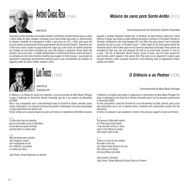



### *Música de cena para Santo Antão* (2012)

www.mic.nt

Inspirada no texto dramático de Gustave Flaubert La Tentation de Saint Antoine (que se refere a Santo Antão do Egito, também conhecido como Santo Antão Anacoreta ou ainda António do Deserto, fundador do monaquismo cristão, e que viveu em 251 e 356), esta peça não procura ilustrar musicalmente a trama propriamente dita da obra de Flaubert. Reporta-se sim a três locais onde a acção da peça teatral tem lugar que, como todos os cenários descritos por Flaubert, se encontram animados por uma vida própria e eloquente. Temos assim três quadros, como uma suite – a cidade de Alexandria, a montanha de Colzum (perto de Suez) e os rochedos em torno dos monstros marinhos que surgem no final da peça – que servem de argumento à exploração de elementos musicais puros e que, sucintamente, se sucedem na seguinte ordem de relevo: timbre, melodia e ritmo.





www.mic.pt [tinocoluis.com](http://tinocoluis.com/)

O Silêncio e as Pedras foi escrita em resposta a uma encomenda da Miso Music Portugal. A peça é dedicada ao Sond'Ar-te Electric Ensemble, que fez a sua estreia, em Dezembro de 2008.

Para a sua composição usei a instrumentação base do Sond'Ar-te (flauta, clarinete, piano, violino, violoncelo) e um conjunto de blocos de granito, combinados com sons pré-gravados e meios electrónicos em tempo real.

Contei, ainda, com o precioso apoio de José Luís Ferreira, na assistência informática musical.

(...) O chão está cheio de insectos que se confundem com as alfarrobas; só sei deles às quatro da tarde quando fazem a sombra falar.

#### (...)

Não há tempo para os grilos; não há água no barro nem mangueiras ao sol. Só o silêncio e as pedras e a areia nas mãos.

João Tinoco, Tempo Redondo, ed. Ulmeiro

Commissioned by the Sond'Ar-te *Electric Ensemble*

Inspired in Gustave Flaubert's theatre text, La Tentation de Saint Antoine (referring to Saint Anthony of Egypt, also known as Saint Anthony Anchorite or Anthony of the Desert, founder of Christian monasticism, who lived between 251 and 356), this piece doesn't aim to illustrate musically the plot as such, of Flaubert's work. It rather refers to the three places where the theatrical piece's action takes place. As all sceneries described by Flaubert, these places are animated by their very own and eloquent life. And so we have three "pictures" in form of a suite - the City of Alexandria, Mount Colzum (close to Suez), and the rocks around the sea monsters, which appear in the piece's final. They serve as an argument to explore pure musical elements, which succeed, succinctly, in the following order of appearance: timbre, melody and rhythm.

## *O Silêncio e as Pedras* (2008)

Commissioned by Miso Music Portugal

O Silêncio e as Pedras was written in response to a commission by Miso Music Portugal. The piece is dedicated to the Sond'Ar-te Electric Ensemble and it had its premiere performance in December 2008.

For the composition I used the Sond'Ar-te's core instrumental set (flute, clarinet, piano, violin and violoncello) and a set of granite blocks, combined with prerecorded sounds and live electronics.

In terms of computer music assistance I relied on the precious support of José Luís Ferreira.

(…)

The ground is filled with insects as if they were carob beans; I only see them at four o´clock when in the afternoon shade they make it start to talk...

#### (…)

There is no time for the crickets; No water in the clay nor rubber hoses drying in the sun. Only silence and stones and sand filling my hands.

(trad. Yvette K. Centeno) João Tinoco, Tempo Redondo (Round Time), ed. Ulmeiro